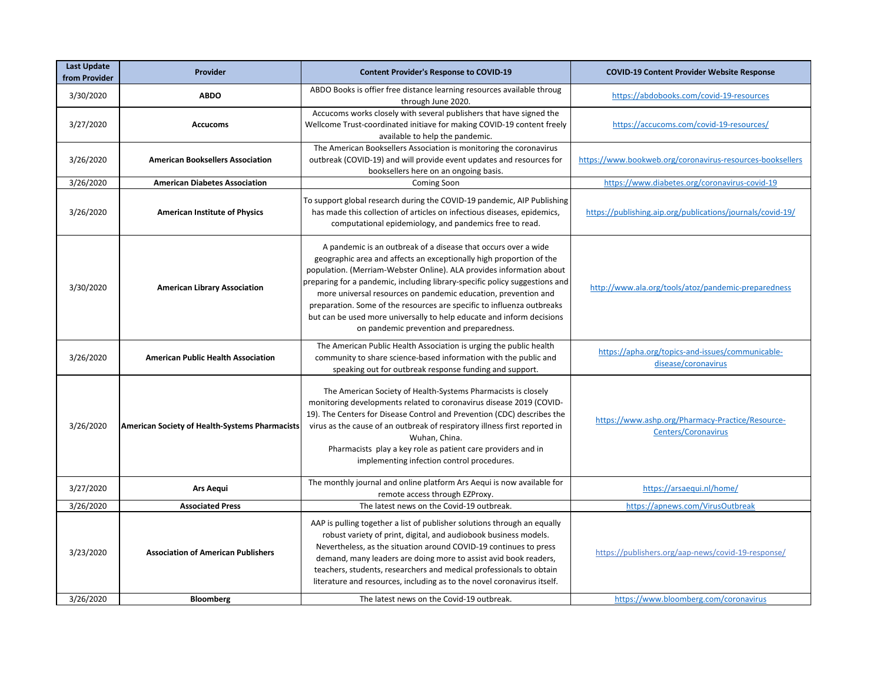| <b>Last Update</b><br>from Provider | Provider                                              | <b>Content Provider's Response to COVID-19</b>                                                                                                                                                                                                                                                                                                                                                                                                                                                                                                                | <b>COVID-19 Content Provider Website Response</b>                                           |
|-------------------------------------|-------------------------------------------------------|---------------------------------------------------------------------------------------------------------------------------------------------------------------------------------------------------------------------------------------------------------------------------------------------------------------------------------------------------------------------------------------------------------------------------------------------------------------------------------------------------------------------------------------------------------------|---------------------------------------------------------------------------------------------|
| 3/30/2020                           | <b>ABDO</b>                                           | ABDO Books is offier free distance learning resources available throug<br>through June 2020.                                                                                                                                                                                                                                                                                                                                                                                                                                                                  | https://abdobooks.com/covid-19-resources                                                    |
| 3/27/2020                           | <b>Accucoms</b>                                       | Accucoms works closely with several publishers that have signed the<br>Wellcome Trust-coordinated initiave for making COVID-19 content freely<br>available to help the pandemic.                                                                                                                                                                                                                                                                                                                                                                              | https://accucoms.com/covid-19-resources/                                                    |
| 3/26/2020                           | <b>American Booksellers Association</b>               | The American Booksellers Association is monitoring the coronavirus<br>outbreak (COVID-19) and will provide event updates and resources for<br>booksellers here on an ongoing basis.                                                                                                                                                                                                                                                                                                                                                                           | https://www.bookweb.org/coronavirus-resources-booksellers                                   |
| 3/26/2020                           | <b>American Diabetes Association</b>                  | Coming Soon                                                                                                                                                                                                                                                                                                                                                                                                                                                                                                                                                   | https://www.diabetes.org/coronavirus-covid-19                                               |
| 3/26/2020                           | <b>American Institute of Physics</b>                  | To support global research during the COVID-19 pandemic, AIP Publishing<br>has made this collection of articles on infectious diseases, epidemics,<br>computational epidemiology, and pandemics free to read.                                                                                                                                                                                                                                                                                                                                                 | https://publishing.aip.org/publications/journals/covid-19/                                  |
| 3/30/2020                           | <b>American Library Association</b>                   | A pandemic is an outbreak of a disease that occurs over a wide<br>geographic area and affects an exceptionally high proportion of the<br>population. (Merriam-Webster Online). ALA provides information about<br>preparing for a pandemic, including library-specific policy suggestions and<br>more universal resources on pandemic education, prevention and<br>preparation. Some of the resources are specific to influenza outbreaks<br>but can be used more universally to help educate and inform decisions<br>on pandemic prevention and preparedness. | http://www.ala.org/tools/atoz/pandemic-preparedness                                         |
| 3/26/2020                           | <b>American Public Health Association</b>             | The American Public Health Association is urging the public health<br>community to share science-based information with the public and<br>speaking out for outbreak response funding and support.                                                                                                                                                                                                                                                                                                                                                             | https://apha.org/topics-and-issues/communicable-<br>disease/coronavirus                     |
| 3/26/2020                           | <b>American Society of Health-Systems Pharmacists</b> | The American Society of Health-Systems Pharmacists is closely<br>monitoring developments related to coronavirus disease 2019 (COVID-<br>19). The Centers for Disease Control and Prevention (CDC) describes the<br>virus as the cause of an outbreak of respiratory illness first reported in<br>Wuhan, China.<br>Pharmacists play a key role as patient care providers and in<br>implementing infection control procedures.                                                                                                                                  | https://www.ashp.org/Pharmacy-Practice/Resource-<br>Centers/Coronavirus                     |
| 3/27/2020                           | <b>Ars Aequi</b>                                      | The monthly journal and online platform Ars Aequi is now available for<br>remote access through EZProxy.                                                                                                                                                                                                                                                                                                                                                                                                                                                      | https://arsaequi.nl/home/                                                                   |
| 3/26/2020                           | <b>Associated Press</b>                               | The latest news on the Covid-19 outbreak.                                                                                                                                                                                                                                                                                                                                                                                                                                                                                                                     | https://apnews.com/VirusOutbreak                                                            |
| 3/23/2020<br>3/26/2020              | <b>Association of American Publishers</b>             | AAP is pulling together a list of publisher solutions through an equally<br>robust variety of print, digital, and audiobook business models.<br>Nevertheless, as the situation around COVID-19 continues to press<br>demand, many leaders are doing more to assist avid book readers,<br>teachers, students, researchers and medical professionals to obtain<br>literature and resources, including as to the novel coronavirus itself.<br>The latest news on the Covid-19 outbreak.                                                                          | https://publishers.org/aap-news/covid-19-response/<br>https://www.bloomberg.com/coronavirus |
|                                     | <b>Bloomberg</b>                                      |                                                                                                                                                                                                                                                                                                                                                                                                                                                                                                                                                               |                                                                                             |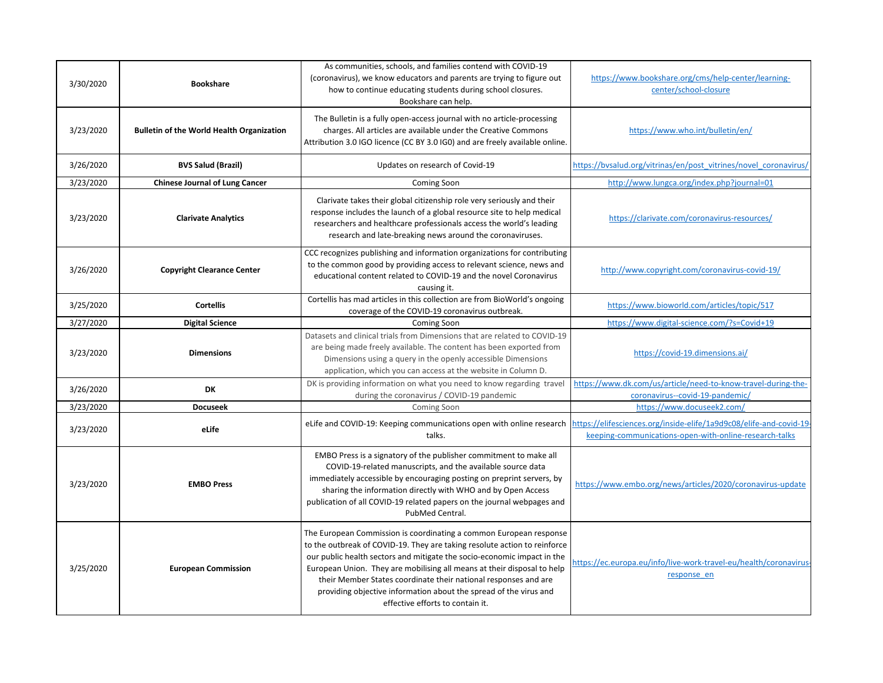| 3/30/2020 | <b>Bookshare</b>                                 | As communities, schools, and families contend with COVID-19<br>(coronavirus), we know educators and parents are trying to figure out<br>how to continue educating students during school closures.<br>Bookshare can help.                                                                                                                                                                                                                                                         | https://www.bookshare.org/cms/help-center/learning-<br>center/school-closure                     |
|-----------|--------------------------------------------------|-----------------------------------------------------------------------------------------------------------------------------------------------------------------------------------------------------------------------------------------------------------------------------------------------------------------------------------------------------------------------------------------------------------------------------------------------------------------------------------|--------------------------------------------------------------------------------------------------|
| 3/23/2020 | <b>Bulletin of the World Health Organization</b> | The Bulletin is a fully open-access journal with no article-processing<br>charges. All articles are available under the Creative Commons<br>Attribution 3.0 IGO licence (CC BY 3.0 IGO) and are freely available online.                                                                                                                                                                                                                                                          | https://www.who.int/bulletin/en/                                                                 |
| 3/26/2020 | <b>BVS Salud (Brazil)</b>                        | Updates on research of Covid-19                                                                                                                                                                                                                                                                                                                                                                                                                                                   | https://bvsalud.org/vitrinas/en/post vitrines/novel coronavirus/                                 |
| 3/23/2020 | <b>Chinese Journal of Lung Cancer</b>            | Coming Soon                                                                                                                                                                                                                                                                                                                                                                                                                                                                       | http://www.lungca.org/index.php?journal=01                                                       |
| 3/23/2020 | <b>Clarivate Analytics</b>                       | Clarivate takes their global citizenship role very seriously and their<br>response includes the launch of a global resource site to help medical<br>researchers and healthcare professionals access the world's leading<br>research and late-breaking news around the coronaviruses.                                                                                                                                                                                              | https://clarivate.com/coronavirus-resources/                                                     |
| 3/26/2020 | <b>Copyright Clearance Center</b>                | CCC recognizes publishing and information organizations for contributing<br>to the common good by providing access to relevant science, news and<br>educational content related to COVID-19 and the novel Coronavirus<br>causing it.                                                                                                                                                                                                                                              | http://www.copyright.com/coronavirus-covid-19/                                                   |
| 3/25/2020 | <b>Cortellis</b>                                 | Cortellis has mad articles in this collection are from BioWorld's ongoing<br>coverage of the COVID-19 coronavirus outbreak.                                                                                                                                                                                                                                                                                                                                                       | https://www.bioworld.com/articles/topic/517                                                      |
| 3/27/2020 | <b>Digital Science</b>                           | Coming Soon                                                                                                                                                                                                                                                                                                                                                                                                                                                                       | https://www.digital-science.com/?s=Covid+19                                                      |
| 3/23/2020 | <b>Dimensions</b>                                | Datasets and clinical trials from Dimensions that are related to COVID-19<br>are being made freely available. The content has been exported from<br>Dimensions using a query in the openly accessible Dimensions<br>application, which you can access at the website in Column D.                                                                                                                                                                                                 | https://covid-19.dimensions.ai/                                                                  |
| 3/26/2020 | DK                                               | DK is providing information on what you need to know regarding travel<br>during the coronavirus / COVID-19 pandemic                                                                                                                                                                                                                                                                                                                                                               | https://www.dk.com/us/article/need-to-know-travel-during-the-<br>coronavirus--covid-19-pandemic/ |
| 3/23/2020 | <b>Docuseek</b>                                  | Coming Soon                                                                                                                                                                                                                                                                                                                                                                                                                                                                       | https://www.docuseek2.com/                                                                       |
| 3/23/2020 | eLife                                            | eLife and COVID-19: Keeping communications open with online research https://elifesciences.org/inside-elife/1a9d9c08/elife-and-covid-19-<br>talks.                                                                                                                                                                                                                                                                                                                                | keeping-communications-open-with-online-research-talks                                           |
| 3/23/2020 | <b>EMBO Press</b>                                | EMBO Press is a signatory of the publisher commitment to make all<br>COVID-19-related manuscripts, and the available source data<br>immediately accessible by encouraging posting on preprint servers, by<br>sharing the information directly with WHO and by Open Access<br>publication of all COVID-19 related papers on the journal webpages and<br>PubMed Central.                                                                                                            | https://www.embo.org/news/articles/2020/coronavirus-update                                       |
| 3/25/2020 | <b>European Commission</b>                       | The European Commission is coordinating a common European response<br>to the outbreak of COVID-19. They are taking resolute action to reinforce<br>our public health sectors and mitigate the socio-economic impact in the<br>European Union. They are mobilising all means at their disposal to help<br>their Member States coordinate their national responses and are<br>providing objective information about the spread of the virus and<br>effective efforts to contain it. | https://ec.europa.eu/info/live-work-travel-eu/health/coronavirus-<br>response en                 |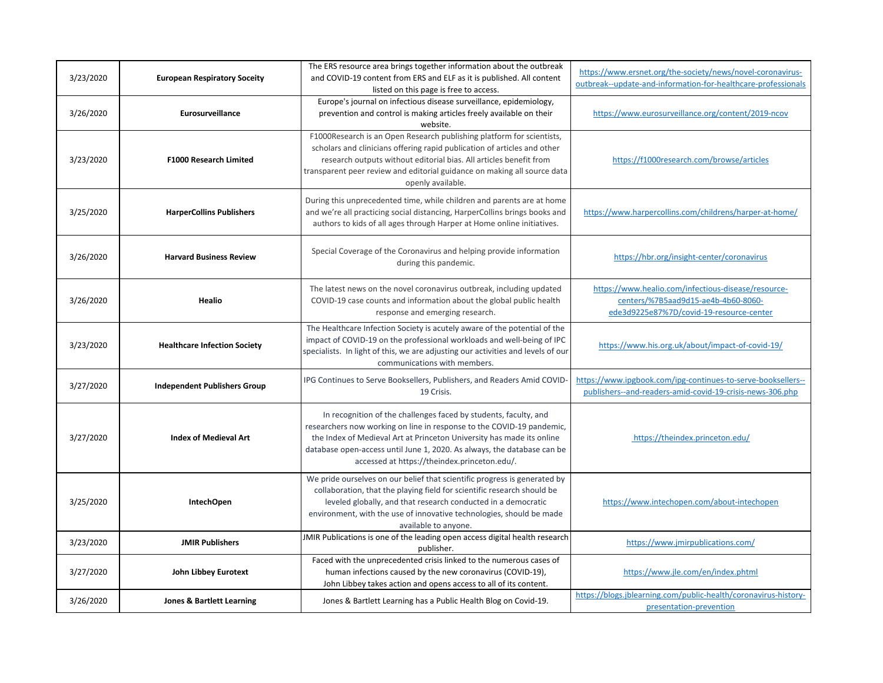| 3/23/2020 | <b>European Respiratory Soceity</b>  | The ERS resource area brings together information about the outbreak<br>and COVID-19 content from ERS and ELF as it is published. All content<br>listed on this page is free to access.                                                                                                                                                       | https://www.ersnet.org/the-society/news/novel-coronavirus-<br>outbreak--update-and-information-for-healthcare-professionals            |
|-----------|--------------------------------------|-----------------------------------------------------------------------------------------------------------------------------------------------------------------------------------------------------------------------------------------------------------------------------------------------------------------------------------------------|----------------------------------------------------------------------------------------------------------------------------------------|
| 3/26/2020 | Eurosurveillance                     | Europe's journal on infectious disease surveillance, epidemiology,<br>prevention and control is making articles freely available on their<br>website.                                                                                                                                                                                         | https://www.eurosurveillance.org/content/2019-ncov                                                                                     |
| 3/23/2020 | <b>F1000 Research Limited</b>        | F1000Research is an Open Research publishing platform for scientists,<br>scholars and clinicians offering rapid publication of articles and other<br>research outputs without editorial bias. All articles benefit from<br>transparent peer review and editorial guidance on making all source data<br>openly available.                      | https://f1000research.com/browse/articles                                                                                              |
| 3/25/2020 | <b>HarperCollins Publishers</b>      | During this unprecedented time, while children and parents are at home<br>and we're all practicing social distancing, HarperCollins brings books and<br>authors to kids of all ages through Harper at Home online initiatives.                                                                                                                | https://www.harpercollins.com/childrens/harper-at-home/                                                                                |
| 3/26/2020 | <b>Harvard Business Review</b>       | Special Coverage of the Coronavirus and helping provide information<br>during this pandemic.                                                                                                                                                                                                                                                  | https://hbr.org/insight-center/coronavirus                                                                                             |
| 3/26/2020 | <b>Healio</b>                        | The latest news on the novel coronavirus outbreak, including updated<br>COVID-19 case counts and information about the global public health<br>response and emerging research.                                                                                                                                                                | https://www.healio.com/infectious-disease/resource-<br>centers/%7B5aad9d15-ae4b-4b60-8060-<br>ede3d9225e87%7D/covid-19-resource-center |
| 3/23/2020 | <b>Healthcare Infection Society</b>  | The Healthcare Infection Society is acutely aware of the potential of the<br>impact of COVID-19 on the professional workloads and well-being of IPC<br>specialists. In light of this, we are adjusting our activities and levels of our<br>communications with members.                                                                       | https://www.his.org.uk/about/impact-of-covid-19/                                                                                       |
| 3/27/2020 | <b>Independent Publishers Group</b>  | IPG Continues to Serve Booksellers, Publishers, and Readers Amid COVID-<br>19 Crisis.                                                                                                                                                                                                                                                         | https://www.ipgbook.com/ipg-continues-to-serve-booksellers--<br>publishers--and-readers-amid-covid-19-crisis-news-306.php              |
| 3/27/2020 | <b>Index of Medieval Art</b>         | In recognition of the challenges faced by students, faculty, and<br>researchers now working on line in response to the COVID-19 pandemic,<br>the Index of Medieval Art at Princeton University has made its online<br>database open-access until June 1, 2020. As always, the database can be<br>accessed at https://theindex.princeton.edu/. | https://theindex.princeton.edu/                                                                                                        |
| 3/25/2020 | <b>IntechOpen</b>                    | We pride ourselves on our belief that scientific progress is generated by<br>collaboration, that the playing field for scientific research should be<br>leveled globally, and that research conducted in a democratic<br>environment, with the use of innovative technologies, should be made<br>available to anyone.                         | https://www.intechopen.com/about-intechopen                                                                                            |
| 3/23/2020 | <b>JMIR Publishers</b>               | JMIR Publications is one of the leading open access digital health research<br>publisher.                                                                                                                                                                                                                                                     | https://www.jmirpublications.com/                                                                                                      |
| 3/27/2020 | <b>John Libbey Eurotext</b>          | Faced with the unprecedented crisis linked to the numerous cases of<br>human infections caused by the new coronavirus (COVID-19),<br>John Libbey takes action and opens access to all of its content.                                                                                                                                         | https://www.jle.com/en/index.phtml                                                                                                     |
| 3/26/2020 | <b>Jones &amp; Bartlett Learning</b> | Jones & Bartlett Learning has a Public Health Blog on Covid-19.                                                                                                                                                                                                                                                                               | https://blogs.jblearning.com/public-health/coronavirus-history-<br>presentation-prevention                                             |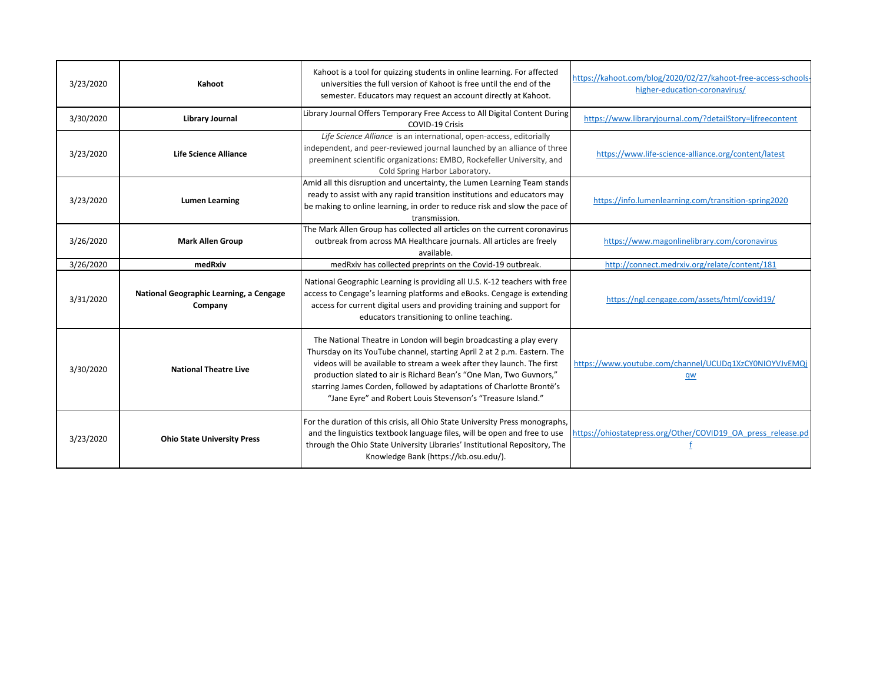| 3/23/2020 | Kahoot                                             | Kahoot is a tool for quizzing students in online learning. For affected<br>universities the full version of Kahoot is free until the end of the<br>semester. Educators may request an account directly at Kahoot.                                                                                                                                                                                                                      | https://kahoot.com/blog/2020/02/27/kahoot-free-access-schools<br>higher-education-coronavirus/ |
|-----------|----------------------------------------------------|----------------------------------------------------------------------------------------------------------------------------------------------------------------------------------------------------------------------------------------------------------------------------------------------------------------------------------------------------------------------------------------------------------------------------------------|------------------------------------------------------------------------------------------------|
| 3/30/2020 | <b>Library Journal</b>                             | Library Journal Offers Temporary Free Access to All Digital Content During<br>COVID-19 Crisis                                                                                                                                                                                                                                                                                                                                          | https://www.libraryjournal.com/?detailStory=ljfreecontent                                      |
| 3/23/2020 | <b>Life Science Alliance</b>                       | Life Science Alliance is an international, open-access, editorially<br>independent, and peer-reviewed journal launched by an alliance of three<br>preeminent scientific organizations: EMBO, Rockefeller University, and<br>Cold Spring Harbor Laboratory.                                                                                                                                                                             | https://www.life-science-alliance.org/content/latest                                           |
| 3/23/2020 | <b>Lumen Learning</b>                              | Amid all this disruption and uncertainty, the Lumen Learning Team stands<br>ready to assist with any rapid transition institutions and educators may<br>be making to online learning, in order to reduce risk and slow the pace of<br>transmission.                                                                                                                                                                                    | https://info.lumenlearning.com/transition-spring2020                                           |
| 3/26/2020 | <b>Mark Allen Group</b>                            | The Mark Allen Group has collected all articles on the current coronavirus<br>outbreak from across MA Healthcare journals. All articles are freely<br>available.                                                                                                                                                                                                                                                                       | https://www.magonlinelibrary.com/coronavirus                                                   |
| 3/26/2020 | medRxiv                                            | medRxiv has collected preprints on the Covid-19 outbreak.                                                                                                                                                                                                                                                                                                                                                                              | http://connect.medrxiv.org/relate/content/181                                                  |
| 3/31/2020 | National Geographic Learning, a Cengage<br>Company | National Geographic Learning is providing all U.S. K-12 teachers with free<br>access to Cengage's learning platforms and eBooks. Cengage is extending<br>access for current digital users and providing training and support for<br>educators transitioning to online teaching.                                                                                                                                                        | https://ngl.cengage.com/assets/html/covid19/                                                   |
| 3/30/2020 | <b>National Theatre Live</b>                       | The National Theatre in London will begin broadcasting a play every<br>Thursday on its YouTube channel, starting April 2 at 2 p.m. Eastern. The<br>videos will be available to stream a week after they launch. The first<br>production slated to air is Richard Bean's "One Man, Two Guvnors,"<br>starring James Corden, followed by adaptations of Charlotte Brontë's<br>"Jane Eyre" and Robert Louis Stevenson's "Treasure Island." | https://www.youtube.com/channel/UCUDq1XzCY0NIOYVJvEMQj<br>qw                                   |
| 3/23/2020 | <b>Ohio State University Press</b>                 | For the duration of this crisis, all Ohio State University Press monographs,<br>and the linguistics textbook language files, will be open and free to use<br>through the Ohio State University Libraries' Institutional Repository, The<br>Knowledge Bank (https://kb.osu.edu/).                                                                                                                                                       | https://ohiostatepress.org/Other/COVID19 OA press release.pd                                   |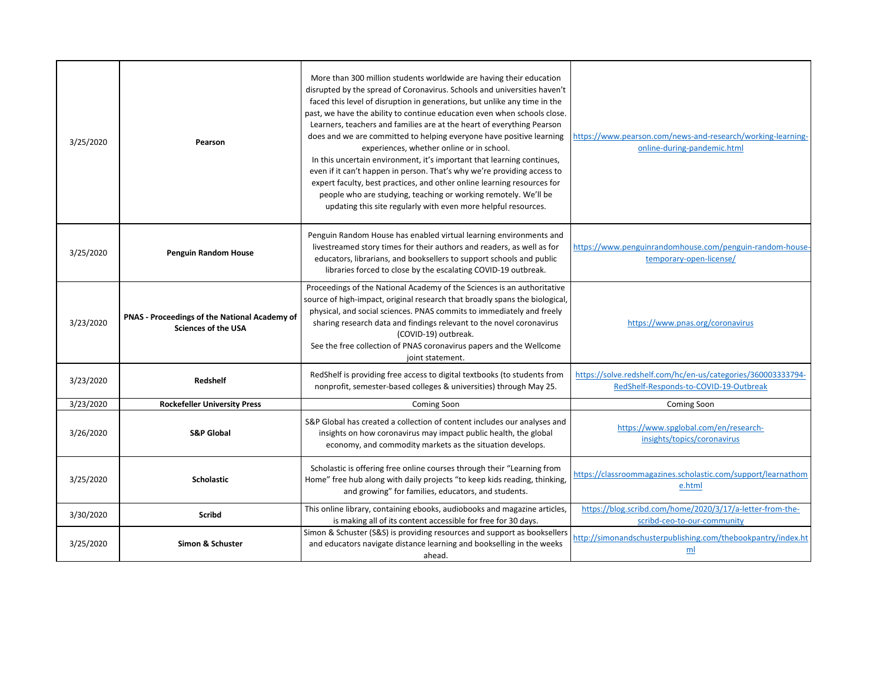| 3/25/2020 | Pearson                                                                            | More than 300 million students worldwide are having their education<br>disrupted by the spread of Coronavirus. Schools and universities haven't<br>faced this level of disruption in generations, but unlike any time in the<br>past, we have the ability to continue education even when schools close.<br>Learners, teachers and families are at the heart of everything Pearson<br>does and we are committed to helping everyone have positive learning<br>experiences, whether online or in school.<br>In this uncertain environment, it's important that learning continues,<br>even if it can't happen in person. That's why we're providing access to<br>expert faculty, best practices, and other online learning resources for<br>people who are studying, teaching or working remotely. We'll be<br>updating this site regularly with even more helpful resources. | https://www.pearson.com/news-and-research/working-learning-<br>online-during-pandemic.html             |
|-----------|------------------------------------------------------------------------------------|------------------------------------------------------------------------------------------------------------------------------------------------------------------------------------------------------------------------------------------------------------------------------------------------------------------------------------------------------------------------------------------------------------------------------------------------------------------------------------------------------------------------------------------------------------------------------------------------------------------------------------------------------------------------------------------------------------------------------------------------------------------------------------------------------------------------------------------------------------------------------|--------------------------------------------------------------------------------------------------------|
| 3/25/2020 | <b>Penguin Random House</b>                                                        | Penguin Random House has enabled virtual learning environments and<br>livestreamed story times for their authors and readers, as well as for<br>educators, librarians, and booksellers to support schools and public<br>libraries forced to close by the escalating COVID-19 outbreak.                                                                                                                                                                                                                                                                                                                                                                                                                                                                                                                                                                                       | https://www.penguinrandomhouse.com/penguin-random-house-<br>temporary-open-license/                    |
| 3/23/2020 | <b>PNAS - Proceedings of the National Academy of</b><br><b>Sciences of the USA</b> | Proceedings of the National Academy of the Sciences is an authoritative<br>source of high-impact, original research that broadly spans the biological,<br>physical, and social sciences. PNAS commits to immediately and freely<br>sharing research data and findings relevant to the novel coronavirus<br>(COVID-19) outbreak.<br>See the free collection of PNAS coronavirus papers and the Wellcome<br>joint statement.                                                                                                                                                                                                                                                                                                                                                                                                                                                   | https://www.pnas.org/coronavirus                                                                       |
| 3/23/2020 | Redshelf                                                                           | RedShelf is providing free access to digital textbooks (to students from<br>nonprofit, semester-based colleges & universities) through May 25.                                                                                                                                                                                                                                                                                                                                                                                                                                                                                                                                                                                                                                                                                                                               | https://solve.redshelf.com/hc/en-us/categories/360003333794-<br>RedShelf-Responds-to-COVID-19-Outbreak |
| 3/23/2020 | <b>Rockefeller University Press</b>                                                | Coming Soon                                                                                                                                                                                                                                                                                                                                                                                                                                                                                                                                                                                                                                                                                                                                                                                                                                                                  | <b>Coming Soon</b>                                                                                     |
| 3/26/2020 | <b>S&amp;P Global</b>                                                              | S&P Global has created a collection of content includes our analyses and<br>insights on how coronavirus may impact public health, the global<br>economy, and commodity markets as the situation develops.                                                                                                                                                                                                                                                                                                                                                                                                                                                                                                                                                                                                                                                                    | https://www.spglobal.com/en/research-<br>insights/topics/coronavirus                                   |
| 3/25/2020 | <b>Scholastic</b>                                                                  | Scholastic is offering free online courses through their "Learning from<br>Home" free hub along with daily projects "to keep kids reading, thinking,<br>and growing" for families, educators, and students.                                                                                                                                                                                                                                                                                                                                                                                                                                                                                                                                                                                                                                                                  | https://classroommagazines.scholastic.com/support/learnathom<br>e.html                                 |
| 3/30/2020 | <b>Scribd</b>                                                                      | This online library, containing ebooks, audiobooks and magazine articles,<br>is making all of its content accessible for free for 30 days.                                                                                                                                                                                                                                                                                                                                                                                                                                                                                                                                                                                                                                                                                                                                   | https://blog.scribd.com/home/2020/3/17/a-letter-from-the-<br>scribd-ceo-to-our-community               |
| 3/25/2020 | Simon & Schuster                                                                   | Simon & Schuster (S&S) is providing resources and support as booksellers<br>and educators navigate distance learning and bookselling in the weeks<br>ahead.                                                                                                                                                                                                                                                                                                                                                                                                                                                                                                                                                                                                                                                                                                                  | http://simonandschusterpublishing.com/thebookpantry/index.ht<br>m <sub>l</sub>                         |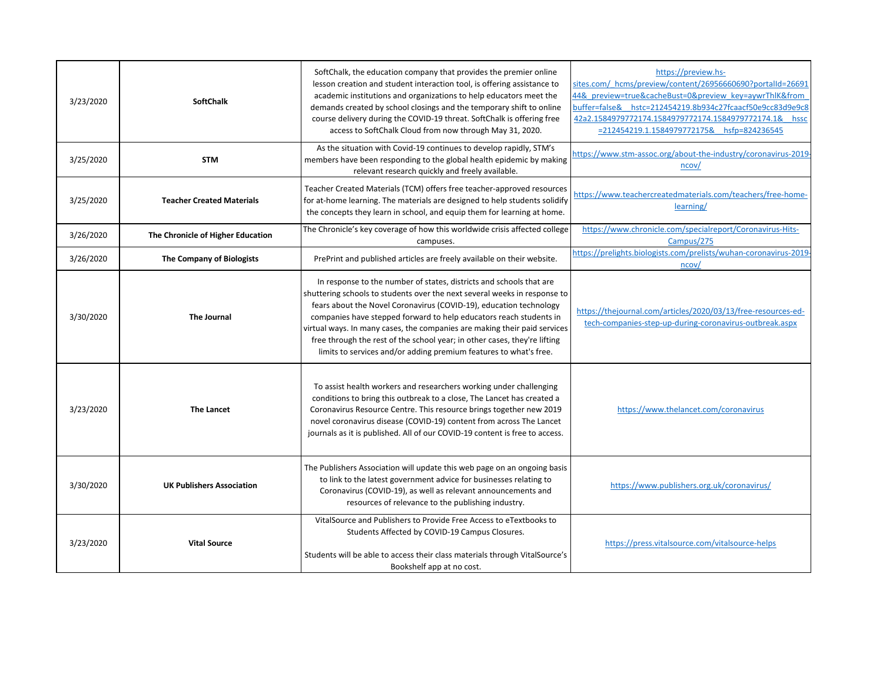| 3/23/2020 | <b>SoftChalk</b>                  | SoftChalk, the education company that provides the premier online<br>lesson creation and student interaction tool, is offering assistance to<br>academic institutions and organizations to help educators meet the<br>demands created by school closings and the temporary shift to online<br>course delivery during the COVID-19 threat. SoftChalk is offering free<br>access to SoftChalk Cloud from now through May 31, 2020.                                                                                            | https://preview.hs-<br>sites.com/ hcms/preview/content/26956660690?portalId=26691<br>44& preview=true&cacheBust=0&preview key=aywrThlK&from<br>buffer=false& hstc=212454219.8b934c27fcaacf50e9cc83d9e9c8<br>42a2.1584979772174.1584979772174.1584979772174.1& hssc<br>=212454219.1.1584979772175& hsfp=824236545 |
|-----------|-----------------------------------|-----------------------------------------------------------------------------------------------------------------------------------------------------------------------------------------------------------------------------------------------------------------------------------------------------------------------------------------------------------------------------------------------------------------------------------------------------------------------------------------------------------------------------|------------------------------------------------------------------------------------------------------------------------------------------------------------------------------------------------------------------------------------------------------------------------------------------------------------------|
| 3/25/2020 | <b>STM</b>                        | As the situation with Covid-19 continues to develop rapidly, STM's<br>members have been responding to the global health epidemic by making<br>relevant research quickly and freely available.                                                                                                                                                                                                                                                                                                                               | https://www.stm-assoc.org/about-the-industry/coronavirus-2019-<br>ncov/                                                                                                                                                                                                                                          |
| 3/25/2020 | <b>Teacher Created Materials</b>  | Teacher Created Materials (TCM) offers free teacher-approved resources<br>for at-home learning. The materials are designed to help students solidify<br>the concepts they learn in school, and equip them for learning at home.                                                                                                                                                                                                                                                                                             | https://www.teachercreatedmaterials.com/teachers/free-home-<br>learning/                                                                                                                                                                                                                                         |
| 3/26/2020 | The Chronicle of Higher Education | The Chronicle's key coverage of how this worldwide crisis affected college<br>campuses.                                                                                                                                                                                                                                                                                                                                                                                                                                     | https://www.chronicle.com/specialreport/Coronavirus-Hits-<br>Campus/275                                                                                                                                                                                                                                          |
| 3/26/2020 | <b>The Company of Biologists</b>  | PrePrint and published articles are freely available on their website.                                                                                                                                                                                                                                                                                                                                                                                                                                                      | https://prelights.biologists.com/prelists/wuhan-coronavirus-2019-<br>ncov/                                                                                                                                                                                                                                       |
| 3/30/2020 | <b>The Journal</b>                | In response to the number of states, districts and schools that are<br>shuttering schools to students over the next several weeks in response to<br>fears about the Novel Coronavirus (COVID-19), education technology<br>companies have stepped forward to help educators reach students in<br>virtual ways. In many cases, the companies are making their paid services<br>free through the rest of the school year; in other cases, they're lifting<br>limits to services and/or adding premium features to what's free. | https://thejournal.com/articles/2020/03/13/free-resources-ed-<br>tech-companies-step-up-during-coronavirus-outbreak.aspx                                                                                                                                                                                         |
| 3/23/2020 | <b>The Lancet</b>                 | To assist health workers and researchers working under challenging<br>conditions to bring this outbreak to a close, The Lancet has created a<br>Coronavirus Resource Centre. This resource brings together new 2019<br>novel coronavirus disease (COVID-19) content from across The Lancet<br>journals as it is published. All of our COVID-19 content is free to access.                                                                                                                                                   | https://www.thelancet.com/coronavirus                                                                                                                                                                                                                                                                            |
| 3/30/2020 | <b>UK Publishers Association</b>  | The Publishers Association will update this web page on an ongoing basis<br>to link to the latest government advice for businesses relating to<br>Coronavirus (COVID-19), as well as relevant announcements and<br>resources of relevance to the publishing industry.                                                                                                                                                                                                                                                       | https://www.publishers.org.uk/coronavirus/                                                                                                                                                                                                                                                                       |
| 3/23/2020 | <b>Vital Source</b>               | VitalSource and Publishers to Provide Free Access to eTextbooks to<br>Students Affected by COVID-19 Campus Closures.<br>Students will be able to access their class materials through VitalSource's<br>Bookshelf app at no cost.                                                                                                                                                                                                                                                                                            | https://press.vitalsource.com/vitalsource-helps                                                                                                                                                                                                                                                                  |